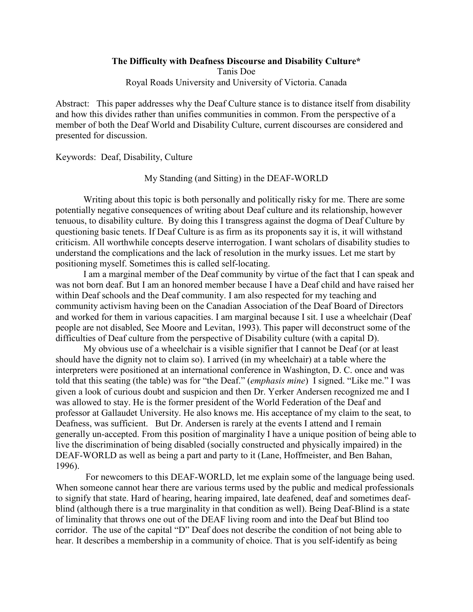## **The Difficulty with Deafness Discourse and Disability Culture\***

Tanis Doe Royal Roads University and University of Victoria. Canada

Abstract: This paper addresses why the Deaf Culture stance is to distance itself from disability and how this divides rather than unifies communities in common. From the perspective of a member of both the Deaf World and Disability Culture, current discourses are considered and presented for discussion.

Keywords: Deaf, Disability, Culture

My Standing (and Sitting) in the DEAF-WORLD

Writing about this topic is both personally and politically risky for me. There are some potentially negative consequences of writing about Deaf culture and its relationship, however tenuous, to disability culture. By doing this I transgress against the dogma of Deaf Culture by questioning basic tenets. If Deaf Culture is as firm as its proponents say it is, it will withstand criticism. All worthwhile concepts deserve interrogation. I want scholars of disability studies to understand the complications and the lack of resolution in the murky issues. Let me start by positioning myself. Sometimes this is called self-locating.

I am a marginal member of the Deaf community by virtue of the fact that I can speak and was not born deaf. But I am an honored member because I have a Deaf child and have raised her within Deaf schools and the Deaf community. I am also respected for my teaching and community activism having been on the Canadian Association of the Deaf Board of Directors and worked for them in various capacities. I am marginal because I sit. I use a wheelchair (Deaf people are not disabled, See Moore and Levitan, 1993). This paper will deconstruct some of the difficulties of Deaf culture from the perspective of Disability culture (with a capital D).

My obvious use of a wheelchair is a visible signifier that I cannot be Deaf (or at least should have the dignity not to claim so). I arrived (in my wheelchair) at a table where the interpreters were positioned at an international conference in Washington, D. C. once and was told that this seating (the table) was for "the Deaf." (*emphasis mine*) I signed. "Like me." I was given a look of curious doubt and suspicion and then Dr. Yerker Andersen recognized me and I was allowed to stay. He is the former president of the World Federation of the Deaf and professor at Gallaudet University. He also knows me. His acceptance of my claim to the seat, to Deafness, was sufficient. But Dr. Andersen is rarely at the events I attend and I remain generally un-accepted. From this position of marginality I have a unique position of being able to live the discrimination of being disabled (socially constructed and physically impaired) in the DEAF-WORLD as well as being a part and party to it (Lane, Hoffmeister, and Ben Bahan, 1996).

 For newcomers to this DEAF-WORLD, let me explain some of the language being used. When someone cannot hear there are various terms used by the public and medical professionals to signify that state. Hard of hearing, hearing impaired, late deafened, deaf and sometimes deafblind (although there is a true marginality in that condition as well). Being Deaf-Blind is a state of liminality that throws one out of the DEAF living room and into the Deaf but Blind too corridor. The use of the capital "D" Deaf does not describe the condition of not being able to hear. It describes a membership in a community of choice. That is you self-identify as being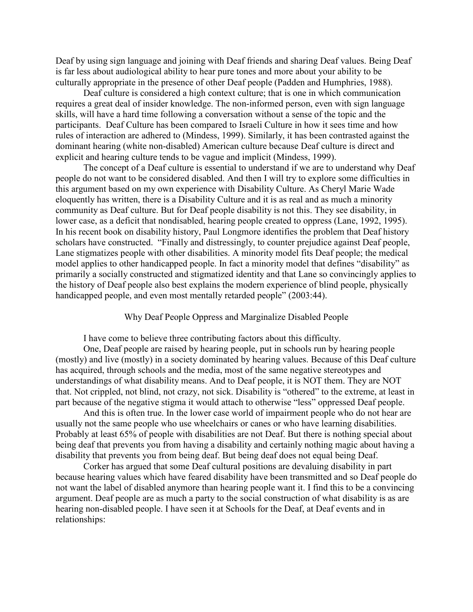Deaf by using sign language and joining with Deaf friends and sharing Deaf values. Being Deaf is far less about audiological ability to hear pure tones and more about your ability to be culturally appropriate in the presence of other Deaf people (Padden and Humphries, 1988).

Deaf culture is considered a high context culture; that is one in which communication requires a great deal of insider knowledge. The non-informed person, even with sign language skills, will have a hard time following a conversation without a sense of the topic and the participants. Deaf Culture has been compared to Israeli Culture in how it sees time and how rules of interaction are adhered to (Mindess, 1999). Similarly, it has been contrasted against the dominant hearing (white non-disabled) American culture because Deaf culture is direct and explicit and hearing culture tends to be vague and implicit (Mindess, 1999).

The concept of a Deaf culture is essential to understand if we are to understand why Deaf people do not want to be considered disabled. And then I will try to explore some difficulties in this argument based on my own experience with Disability Culture. As Cheryl Marie Wade eloquently has written, there is a Disability Culture and it is as real and as much a minority community as Deaf culture. But for Deaf people disability is not this. They see disability, in lower case, as a deficit that nondisabled, hearing people created to oppress (Lane, 1992, 1995). In his recent book on disability history, Paul Longmore identifies the problem that Deaf history scholars have constructed. "Finally and distressingly, to counter prejudice against Deaf people, Lane stigmatizes people with other disabilities. A minority model fits Deaf people; the medical model applies to other handicapped people. In fact a minority model that defines "disability" as primarily a socially constructed and stigmatized identity and that Lane so convincingly applies to the history of Deaf people also best explains the modern experience of blind people, physically handicapped people, and even most mentally retarded people" (2003:44).

Why Deaf People Oppress and Marginalize Disabled People

I have come to believe three contributing factors about this difficulty.

One, Deaf people are raised by hearing people, put in schools run by hearing people (mostly) and live (mostly) in a society dominated by hearing values. Because of this Deaf culture has acquired, through schools and the media, most of the same negative stereotypes and understandings of what disability means. And to Deaf people, it is NOT them. They are NOT that. Not crippled, not blind, not crazy, not sick. Disability is "othered" to the extreme, at least in part because of the negative stigma it would attach to otherwise "less" oppressed Deaf people.

And this is often true. In the lower case world of impairment people who do not hear are usually not the same people who use wheelchairs or canes or who have learning disabilities. Probably at least 65% of people with disabilities are not Deaf. But there is nothing special about being deaf that prevents you from having a disability and certainly nothing magic about having a disability that prevents you from being deaf. But being deaf does not equal being Deaf.

Corker has argued that some Deaf cultural positions are devaluing disability in part because hearing values which have feared disability have been transmitted and so Deaf people do not want the label of disabled anymore than hearing people want it. I find this to be a convincing argument. Deaf people are as much a party to the social construction of what disability is as are hearing non-disabled people. I have seen it at Schools for the Deaf, at Deaf events and in relationships: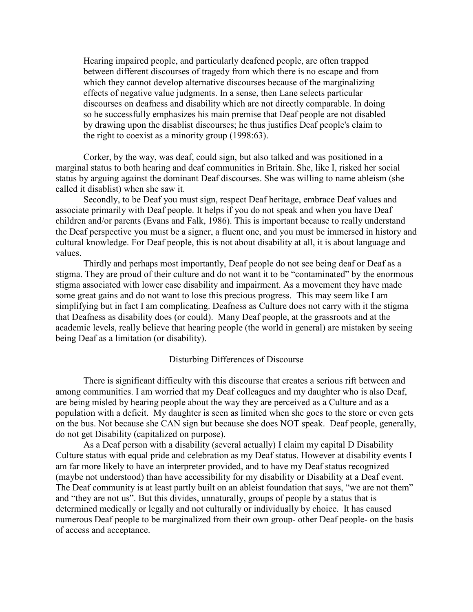Hearing impaired people, and particularly deafened people, are often trapped between different discourses of tragedy from which there is no escape and from which they cannot develop alternative discourses because of the marginalizing effects of negative value judgments. In a sense, then Lane selects particular discourses on deafness and disability which are not directly comparable. In doing so he successfully emphasizes his main premise that Deaf people are not disabled by drawing upon the disablist discourses; he thus justifies Deaf people's claim to the right to coexist as a minority group (1998:63).

Corker, by the way, was deaf, could sign, but also talked and was positioned in a marginal status to both hearing and deaf communities in Britain. She, like I, risked her social status by arguing against the dominant Deaf discourses. She was willing to name ableism (she called it disablist) when she saw it.

Secondly, to be Deaf you must sign, respect Deaf heritage, embrace Deaf values and associate primarily with Deaf people. It helps if you do not speak and when you have Deaf children and/or parents (Evans and Falk, 1986). This is important because to really understand the Deaf perspective you must be a signer, a fluent one, and you must be immersed in history and cultural knowledge. For Deaf people, this is not about disability at all, it is about language and values.

Thirdly and perhaps most importantly, Deaf people do not see being deaf or Deaf as a stigma. They are proud of their culture and do not want it to be "contaminated" by the enormous stigma associated with lower case disability and impairment. As a movement they have made some great gains and do not want to lose this precious progress. This may seem like I am simplifying but in fact I am complicating. Deafness as Culture does not carry with it the stigma that Deafness as disability does (or could). Many Deaf people, at the grassroots and at the academic levels, really believe that hearing people (the world in general) are mistaken by seeing being Deaf as a limitation (or disability).

## Disturbing Differences of Discourse

There is significant difficulty with this discourse that creates a serious rift between and among communities. I am worried that my Deaf colleagues and my daughter who is also Deaf, are being misled by hearing people about the way they are perceived as a Culture and as a population with a deficit. My daughter is seen as limited when she goes to the store or even gets on the bus. Not because she CAN sign but because she does NOT speak. Deaf people, generally, do not get Disability (capitalized on purpose).

As a Deaf person with a disability (several actually) I claim my capital D Disability Culture status with equal pride and celebration as my Deaf status. However at disability events I am far more likely to have an interpreter provided, and to have my Deaf status recognized (maybe not understood) than have accessibility for my disability or Disability at a Deaf event. The Deaf community is at least partly built on an ableist foundation that says, "we are not them" and "they are not us". But this divides, unnaturally, groups of people by a status that is determined medically or legally and not culturally or individually by choice. It has caused numerous Deaf people to be marginalized from their own group- other Deaf people- on the basis of access and acceptance.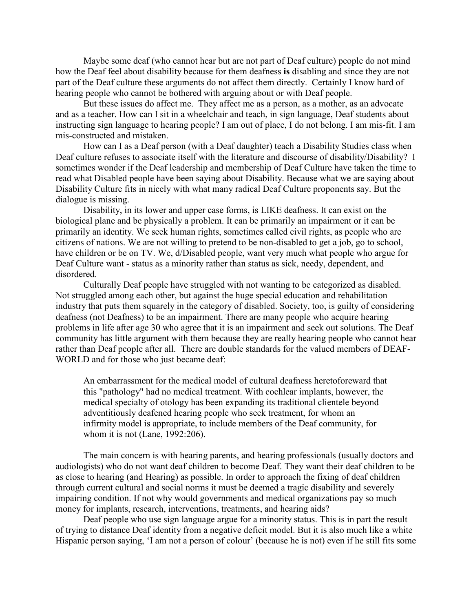Maybe some deaf (who cannot hear but are not part of Deaf culture) people do not mind how the Deaf feel about disability because for them deafness **is** disabling and since they are not part of the Deaf culture these arguments do not affect them directly. Certainly I know hard of hearing people who cannot be bothered with arguing about or with Deaf people.

But these issues do affect me. They affect me as a person, as a mother, as an advocate and as a teacher. How can I sit in a wheelchair and teach, in sign language, Deaf students about instructing sign language to hearing people? I am out of place, I do not belong. I am mis-fit. I am mis-constructed and mistaken.

How can I as a Deaf person (with a Deaf daughter) teach a Disability Studies class when Deaf culture refuses to associate itself with the literature and discourse of disability/Disability? I sometimes wonder if the Deaf leadership and membership of Deaf Culture have taken the time to read what Disabled people have been saying about Disability. Because what we are saying about Disability Culture fits in nicely with what many radical Deaf Culture proponents say. But the dialogue is missing.

Disability, in its lower and upper case forms, is LIKE deafness. It can exist on the biological plane and be physically a problem. It can be primarily an impairment or it can be primarily an identity. We seek human rights, sometimes called civil rights, as people who are citizens of nations. We are not willing to pretend to be non-disabled to get a job, go to school, have children or be on TV. We, d/Disabled people, want very much what people who argue for Deaf Culture want - status as a minority rather than status as sick, needy, dependent, and disordered.

Culturally Deaf people have struggled with not wanting to be categorized as disabled. Not struggled among each other, but against the huge special education and rehabilitation industry that puts them squarely in the category of disabled. Society, too, is guilty of considering deafness (not Deafness) to be an impairment. There are many people who acquire hearing problems in life after age 30 who agree that it is an impairment and seek out solutions. The Deaf community has little argument with them because they are really hearing people who cannot hear rather than Deaf people after all. There are double standards for the valued members of DEAF-WORLD and for those who just became deaf:

An embarrassment for the medical model of cultural deafness heretoforeward that this "pathology" had no medical treatment. With cochlear implants, however, the medical specialty of otology has been expanding its traditional clientele beyond adventitiously deafened hearing people who seek treatment, for whom an infirmity model is appropriate, to include members of the Deaf community, for whom it is not (Lane, 1992:206).

The main concern is with hearing parents, and hearing professionals (usually doctors and audiologists) who do not want deaf children to become Deaf. They want their deaf children to be as close to hearing (and Hearing) as possible. In order to approach the fixing of deaf children through current cultural and social norms it must be deemed a tragic disability and severely impairing condition. If not why would governments and medical organizations pay so much money for implants, research, interventions, treatments, and hearing aids?

Deaf people who use sign language argue for a minority status. This is in part the result of trying to distance Deaf identity from a negative deficit model. But it is also much like a white Hispanic person saying, 'I am not a person of colour' (because he is not) even if he still fits some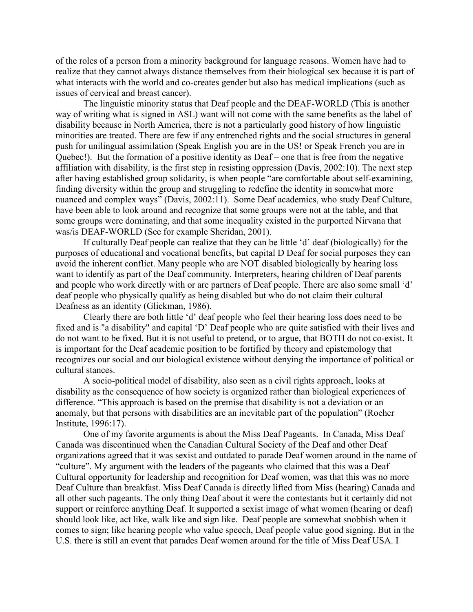of the roles of a person from a minority background for language reasons. Women have had to realize that they cannot always distance themselves from their biological sex because it is part of what interacts with the world and co-creates gender but also has medical implications (such as issues of cervical and breast cancer).

The linguistic minority status that Deaf people and the DEAF-WORLD (This is another way of writing what is signed in ASL) want will not come with the same benefits as the label of disability because in North America, there is not a particularly good history of how linguistic minorities are treated. There are few if any entrenched rights and the social structures in general push for unilingual assimilation (Speak English you are in the US! or Speak French you are in Quebec!). But the formation of a positive identity as Deaf – one that is free from the negative affiliation with disability, is the first step in resisting oppression (Davis, 2002:10). The next step after having established group solidarity, is when people "are comfortable about self-examining, finding diversity within the group and struggling to redefine the identity in somewhat more nuanced and complex ways" (Davis, 2002:11). Some Deaf academics, who study Deaf Culture, have been able to look around and recognize that some groups were not at the table, and that some groups were dominating, and that some inequality existed in the purported Nirvana that was/is DEAF-WORLD (See for example Sheridan, 2001).

If culturally Deaf people can realize that they can be little 'd' deaf (biologically) for the purposes of educational and vocational benefits, but capital D Deaf for social purposes they can avoid the inherent conflict. Many people who are NOT disabled biologically by hearing loss want to identify as part of the Deaf community. Interpreters, hearing children of Deaf parents and people who work directly with or are partners of Deaf people. There are also some small 'd' deaf people who physically qualify as being disabled but who do not claim their cultural Deafness as an identity (Glickman, 1986).

Clearly there are both little 'd' deaf people who feel their hearing loss does need to be fixed and is "a disability" and capital 'D' Deaf people who are quite satisfied with their lives and do not want to be fixed. But it is not useful to pretend, or to argue, that BOTH do not co-exist. It is important for the Deaf academic position to be fortified by theory and epistemology that recognizes our social and our biological existence without denying the importance of political or cultural stances.

A socio-political model of disability, also seen as a civil rights approach, looks at disability as the consequence of how society is organized rather than biological experiences of difference. "This approach is based on the premise that disability is not a deviation or an anomaly, but that persons with disabilities are an inevitable part of the population" (Roeher Institute, 1996:17).

One of my favorite arguments is about the Miss Deaf Pageants. In Canada, Miss Deaf Canada was discontinued when the Canadian Cultural Society of the Deaf and other Deaf organizations agreed that it was sexist and outdated to parade Deaf women around in the name of "culture". My argument with the leaders of the pageants who claimed that this was a Deaf Cultural opportunity for leadership and recognition for Deaf women, was that this was no more Deaf Culture than breakfast. Miss Deaf Canada is directly lifted from Miss (hearing) Canada and all other such pageants. The only thing Deaf about it were the contestants but it certainly did not support or reinforce anything Deaf. It supported a sexist image of what women (hearing or deaf) should look like, act like, walk like and sign like. Deaf people are somewhat snobbish when it comes to sign; like hearing people who value speech, Deaf people value good signing. But in the U.S. there is still an event that parades Deaf women around for the title of Miss Deaf USA. I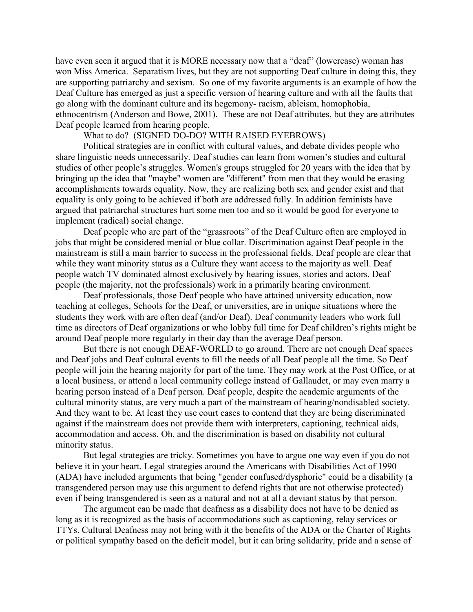have even seen it argued that it is MORE necessary now that a "deaf" (lowercase) woman has won Miss America. Separatism lives, but they are not supporting Deaf culture in doing this, they are supporting patriarchy and sexism. So one of my favorite arguments is an example of how the Deaf Culture has emerged as just a specific version of hearing culture and with all the faults that go along with the dominant culture and its hegemony- racism, ableism, homophobia, ethnocentrism (Anderson and Bowe, 2001). These are not Deaf attributes, but they are attributes Deaf people learned from hearing people.

## What to do? (SIGNED DO-DO? WITH RAISED EYEBROWS)

Political strategies are in conflict with cultural values, and debate divides people who share linguistic needs unnecessarily. Deaf studies can learn from women's studies and cultural studies of other people's struggles. Women's groups struggled for 20 years with the idea that by bringing up the idea that "maybe" women are "different" from men that they would be erasing accomplishments towards equality. Now, they are realizing both sex and gender exist and that equality is only going to be achieved if both are addressed fully. In addition feminists have argued that patriarchal structures hurt some men too and so it would be good for everyone to implement (radical) social change.

Deaf people who are part of the "grassroots" of the Deaf Culture often are employed in jobs that might be considered menial or blue collar. Discrimination against Deaf people in the mainstream is still a main barrier to success in the professional fields. Deaf people are clear that while they want minority status as a Culture they want access to the majority as well. Deaf people watch TV dominated almost exclusively by hearing issues, stories and actors. Deaf people (the majority, not the professionals) work in a primarily hearing environment.

Deaf professionals, those Deaf people who have attained university education, now teaching at colleges, Schools for the Deaf, or universities, are in unique situations where the students they work with are often deaf (and/or Deaf). Deaf community leaders who work full time as directors of Deaf organizations or who lobby full time for Deaf children's rights might be around Deaf people more regularly in their day than the average Deaf person.

But there is not enough DEAF-WORLD to go around. There are not enough Deaf spaces and Deaf jobs and Deaf cultural events to fill the needs of all Deaf people all the time. So Deaf people will join the hearing majority for part of the time. They may work at the Post Office, or at a local business, or attend a local community college instead of Gallaudet, or may even marry a hearing person instead of a Deaf person. Deaf people, despite the academic arguments of the cultural minority status, are very much a part of the mainstream of hearing/nondisabled society. And they want to be. At least they use court cases to contend that they are being discriminated against if the mainstream does not provide them with interpreters, captioning, technical aids, accommodation and access. Oh, and the discrimination is based on disability not cultural minority status.

But legal strategies are tricky. Sometimes you have to argue one way even if you do not believe it in your heart. Legal strategies around the Americans with Disabilities Act of 1990 (ADA) have included arguments that being "gender confused/dysphoric" could be a disability (a transgendered person may use this argument to defend rights that are not otherwise protected) even if being transgendered is seen as a natural and not at all a deviant status by that person.

The argument can be made that deafness as a disability does not have to be denied as long as it is recognized as the basis of accommodations such as captioning, relay services or TTYs. Cultural Deafness may not bring with it the benefits of the ADA or the Charter of Rights or political sympathy based on the deficit model, but it can bring solidarity, pride and a sense of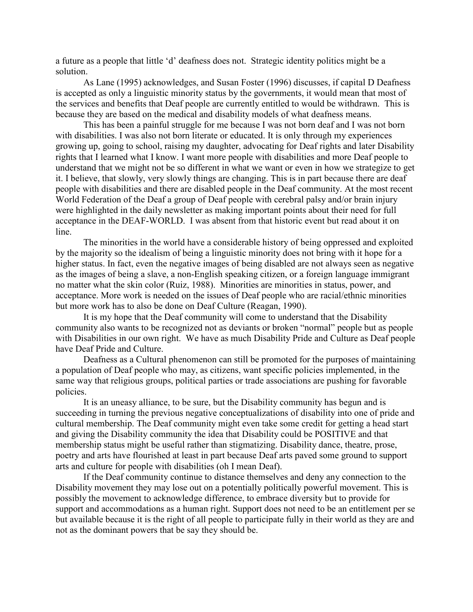a future as a people that little 'd' deafness does not. Strategic identity politics might be a solution.

As Lane (1995) acknowledges, and Susan Foster (1996) discusses, if capital D Deafness is accepted as only a linguistic minority status by the governments, it would mean that most of the services and benefits that Deaf people are currently entitled to would be withdrawn. This is because they are based on the medical and disability models of what deafness means.

This has been a painful struggle for me because I was not born deaf and I was not born with disabilities. I was also not born literate or educated. It is only through my experiences growing up, going to school, raising my daughter, advocating for Deaf rights and later Disability rights that I learned what I know. I want more people with disabilities and more Deaf people to understand that we might not be so different in what we want or even in how we strategize to get it. I believe, that slowly, very slowly things are changing. This is in part because there are deaf people with disabilities and there are disabled people in the Deaf community. At the most recent World Federation of the Deaf a group of Deaf people with cerebral palsy and/or brain injury were highlighted in the daily newsletter as making important points about their need for full acceptance in the DEAF-WORLD. I was absent from that historic event but read about it on line.

The minorities in the world have a considerable history of being oppressed and exploited by the majority so the idealism of being a linguistic minority does not bring with it hope for a higher status. In fact, even the negative images of being disabled are not always seen as negative as the images of being a slave, a non-English speaking citizen, or a foreign language immigrant no matter what the skin color (Ruiz, 1988). Minorities are minorities in status, power, and acceptance. More work is needed on the issues of Deaf people who are racial/ethnic minorities but more work has to also be done on Deaf Culture (Reagan, 1990).

It is my hope that the Deaf community will come to understand that the Disability community also wants to be recognized not as deviants or broken "normal" people but as people with Disabilities in our own right. We have as much Disability Pride and Culture as Deaf people have Deaf Pride and Culture.

Deafness as a Cultural phenomenon can still be promoted for the purposes of maintaining a population of Deaf people who may, as citizens, want specific policies implemented, in the same way that religious groups, political parties or trade associations are pushing for favorable policies.

It is an uneasy alliance, to be sure, but the Disability community has begun and is succeeding in turning the previous negative conceptualizations of disability into one of pride and cultural membership. The Deaf community might even take some credit for getting a head start and giving the Disability community the idea that Disability could be POSITIVE and that membership status might be useful rather than stigmatizing. Disability dance, theatre, prose, poetry and arts have flourished at least in part because Deaf arts paved some ground to support arts and culture for people with disabilities (oh I mean Deaf).

If the Deaf community continue to distance themselves and deny any connection to the Disability movement they may lose out on a potentially politically powerful movement. This is possibly the movement to acknowledge difference, to embrace diversity but to provide for support and accommodations as a human right. Support does not need to be an entitlement per se but available because it is the right of all people to participate fully in their world as they are and not as the dominant powers that be say they should be.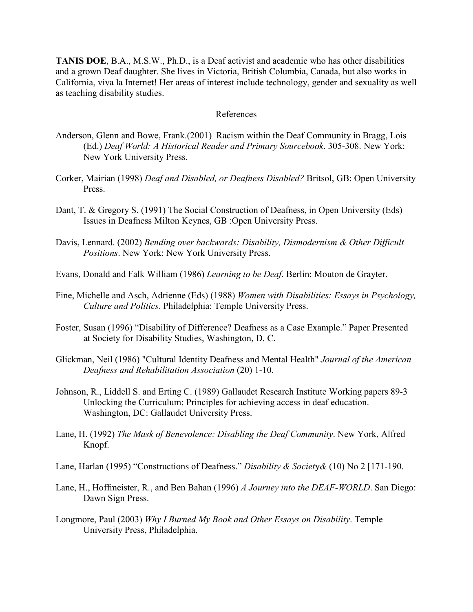**TANIS DOE**, B.A., M.S.W., Ph.D., is a Deaf activist and academic who has other disabilities and a grown Deaf daughter. She lives in Victoria, British Columbia, Canada, but also works in California, viva la Internet! Her areas of interest include technology, gender and sexuality as well as teaching disability studies.

## References

- Anderson, Glenn and Bowe, Frank.(2001) Racism within the Deaf Community in Bragg, Lois (Ed.) *Deaf World: A Historical Reader and Primary Sourcebook*. 305-308. New York: New York University Press.
- Corker, Mairian (1998) *Deaf and Disabled, or Deafness Disabled?* Britsol, GB: Open University **Press**.
- Dant, T. & Gregory S. (1991) The Social Construction of Deafness, in Open University (Eds) Issues in Deafness Milton Keynes, GB :Open University Press.
- Davis, Lennard. (2002) *Bending over backwards: Disability, Dismodernism & Other Difficult Positions*. New York: New York University Press.
- Evans, Donald and Falk William (1986) *Learning to be Deaf*. Berlin: Mouton de Grayter.
- Fine, Michelle and Asch, Adrienne (Eds) (1988) *Women with Disabilities: Essays in Psychology, Culture and Politics*. Philadelphia: Temple University Press.
- Foster, Susan (1996) "Disability of Difference? Deafness as a Case Example." Paper Presented at Society for Disability Studies, Washington, D. C.
- Glickman, Neil (1986) "Cultural Identity Deafness and Mental Health" *Journal of the American Deafness and Rehabilitation Association* (20) 1-10.
- Johnson, R., Liddell S. and Erting C. (1989) Gallaudet Research Institute Working papers 89-3 Unlocking the Curriculum: Principles for achieving access in deaf education. Washington, DC: Gallaudet University Press.
- Lane, H. (1992) *The Mask of Benevolence: Disabling the Deaf Community*. New York, Alfred Knopf.
- Lane, Harlan (1995) "Constructions of Deafness." *Disability & Societ*y*&* (10) No 2 [171-190.
- Lane, H., Hoffmeister, R., and Ben Bahan (1996) *A Journey into the DEAF-WORLD*. San Diego: Dawn Sign Press.
- Longmore, Paul (2003) *Why I Burned My Book and Other Essays on Disability*. Temple University Press, Philadelphia.